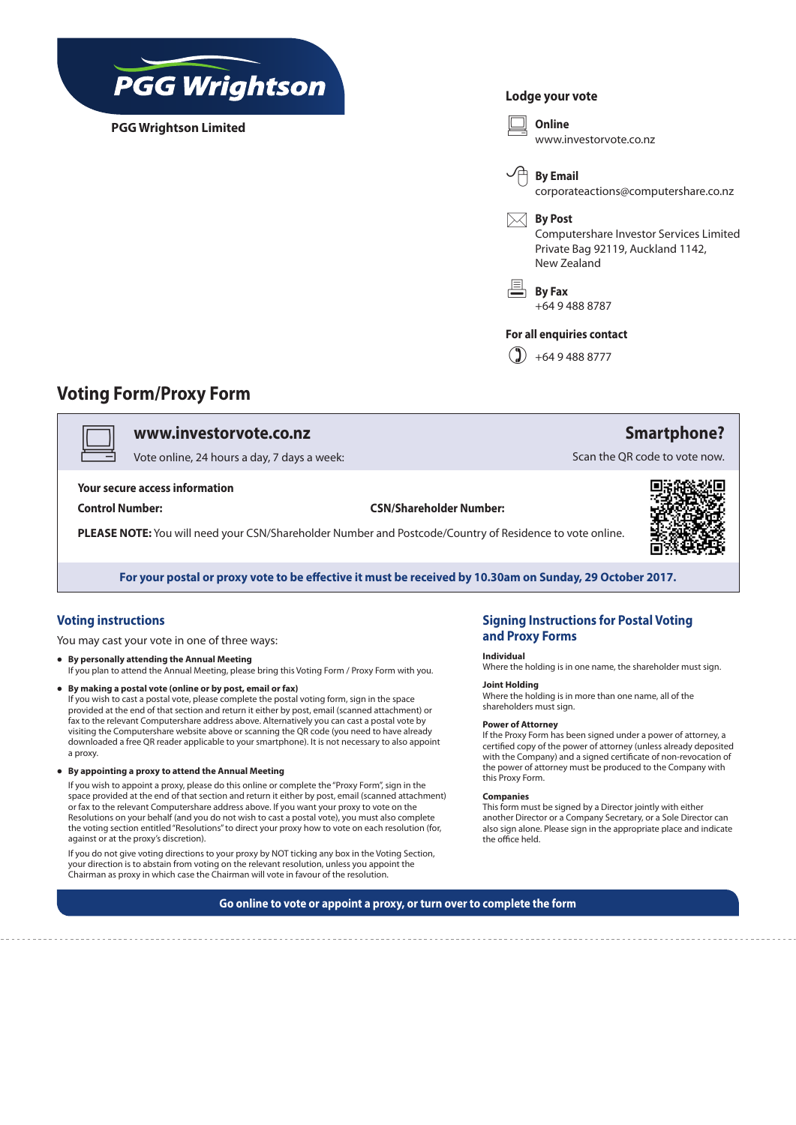

**PGG Wrightson Limited**

### **Lodge your vote**



## **Voting Form/Proxy Form**

## v **www.investorvote.co.nz**

Vote online, 24 hours a day, 7 days a week:

#### **Your secure access information**

**Control Number: CSN/Shareholder Number:**

**PLEASE NOTE:** You will need your CSN/Shareholder Number and Postcode/Country of Residence to vote online.



**Smartphone?**

Scan the QR code to vote now.

**For your postal or proxy vote to be effective it must be received by 10.30am on Sunday, 29 October 2017.**

### **Voting instructions**

You may cast your vote in one of three ways:

- **• By personally attending the Annual Meeting** If you plan to attend the Annual Meeting, please bring this Voting Form / Proxy Form with you.
- **• By making a postal vote (online or by post, email or fax)**  If you wish to cast a postal vote, please complete the postal voting form, sign in the space provided at the end of that section and return it either by post, email (scanned attachment) or fax to the relevant Computershare address above. Alternatively you can cast a postal vote by visiting the Computershare website above or scanning the QR code (you need to have already downloaded a free QR reader applicable to your smartphone). It is not necessary to also appoint a proxy.
- **• By appointing a proxy to attend the Annual Meeting**

If you wish to appoint a proxy, please do this online or complete the "Proxy Form", sign in the space provided at the end of that section and return it either by post, email (scanned attachment) or fax to the relevant Computershare address above. If you want your proxy to vote on the Resolutions on your behalf (and you do not wish to cast a postal vote), you must also complete the voting section entitled "Resolutions" to direct your proxy how to vote on each resolution (for, against or at the proxy's discretion).

If you do not give voting directions to your proxy by NOT ticking any box in the Voting Section, your direction is to abstain from voting on the relevant resolution, unless you appoint the Chairman as proxy in which case the Chairman will vote in favour of the resolution.

## **Signing Instructions for Postal Voting and Proxy Forms**

#### **Individual**

Where the holding is in one name, the shareholder must sign.

#### **Joint Holding**

Where the holding is in more than one name, all of the shareholders must sign.

#### **Power of Attorney**

If the Proxy Form has been signed under a power of attorney, a certified copy of the power of attorney (unless already deposited with the Company) and a signed certificate of non-revocation of the power of attorney must be produced to the Company with this Proxy Form.

#### **Companies**

This form must be signed by a Director jointly with either another Director or a Company Secretary, or a Sole Director can also sign alone. Please sign in the appropriate place and indicate the office held.

**Go online to vote or appoint a proxy, or turn over to complete the form**